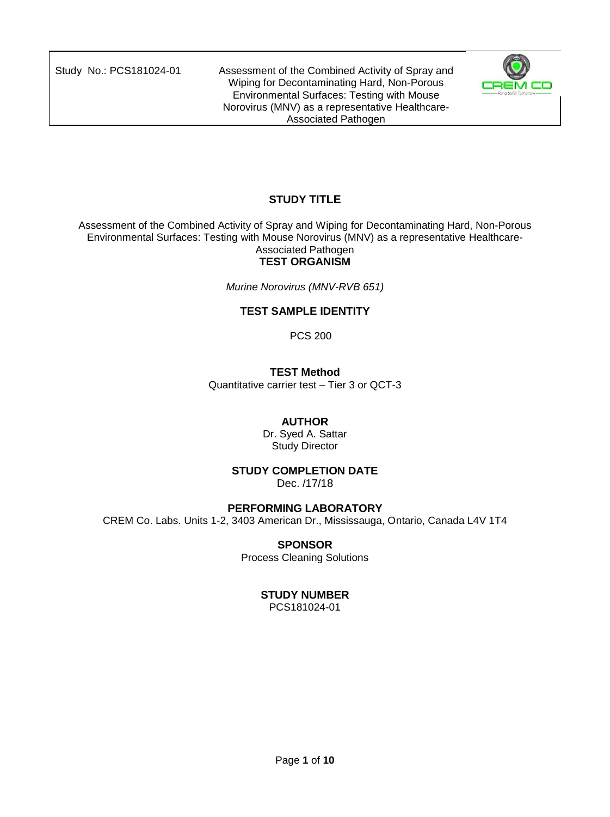

# **STUDY TITLE**

Assessment of the Combined Activity of Spray and Wiping for Decontaminating Hard, Non-Porous Environmental Surfaces: Testing with Mouse Norovirus (MNV) as a representative Healthcare-Associated Pathogen

## **TEST ORGANISM**

*Murine Norovirus (MNV-RVB 651)*

## **TEST SAMPLE IDENTITY**

PCS 200

## **TEST Method**

Quantitative carrier test – Tier 3 or QCT-3

## **AUTHOR**

Dr. Syed A. Sattar Study Director

#### **STUDY COMPLETION DATE**

Dec. /17/18

## **PERFORMING LABORATORY**

CREM Co. Labs. Units 1-2, 3403 American Dr., Mississauga, Ontario, Canada L4V 1T4

## **SPONSOR**

Process Cleaning Solutions

## **STUDY NUMBER**

PCS181024-01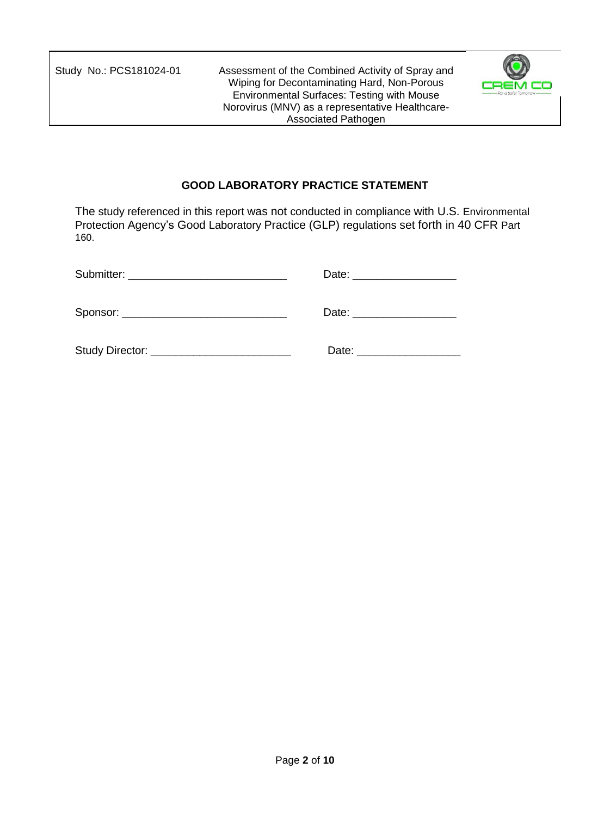

## **GOOD LABORATORY PRACTICE STATEMENT**

The study referenced in this report was not conducted in compliance with U.S. Environmental Protection Agency's Good Laboratory Practice (GLP) regulations set forth in 40 CFR Part 160.

| Submitter: _________________________________ | Date: _____________________ |
|----------------------------------------------|-----------------------------|
| Sponsor: _______________________________     | Date: ____________________  |
|                                              | Date: ___________________   |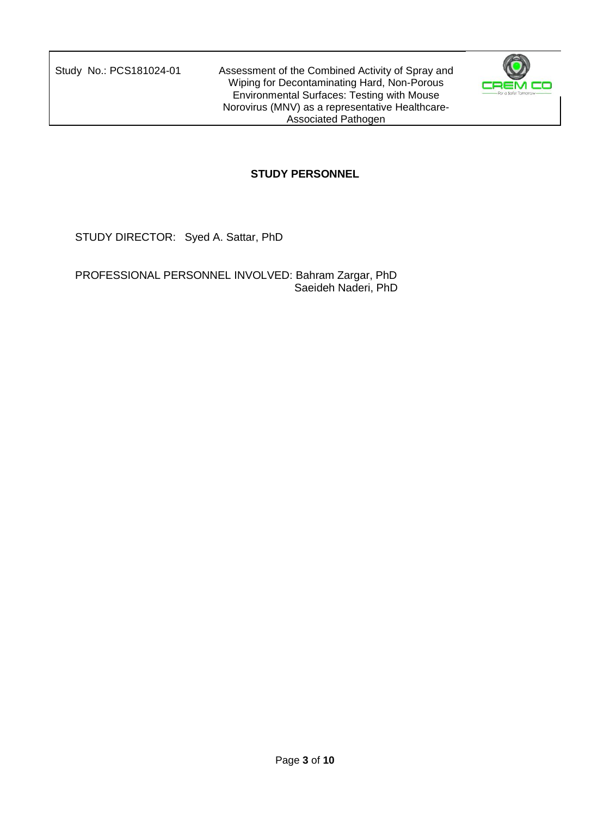

## **STUDY PERSONNEL**

STUDY DIRECTOR: Syed A. Sattar, PhD

PROFESSIONAL PERSONNEL INVOLVED: Bahram Zargar, PhD Saeideh Naderi, PhD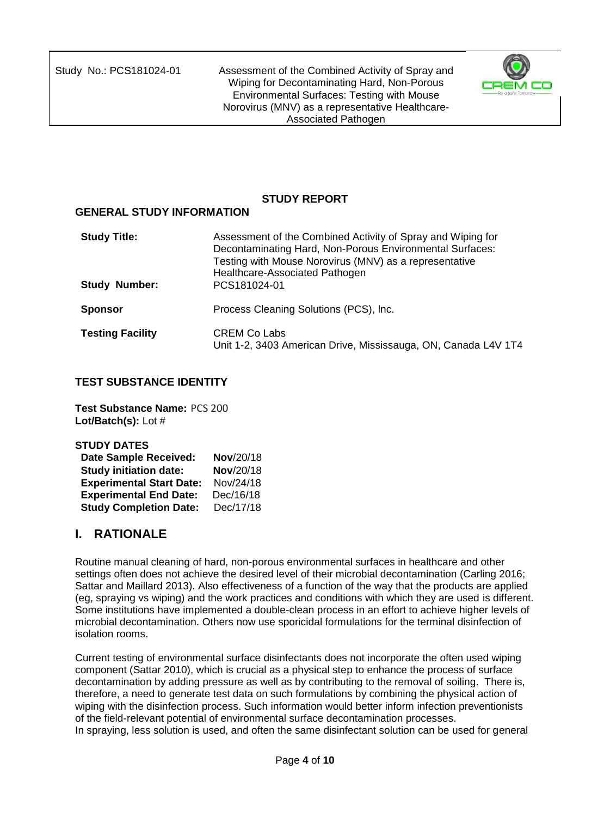

## **STUDY REPORT**

#### **GENERAL STUDY INFORMATION**

| <b>Study Title:</b><br><b>Study Number:</b> | Assessment of the Combined Activity of Spray and Wiping for<br>Decontaminating Hard, Non-Porous Environmental Surfaces:<br>Testing with Mouse Norovirus (MNV) as a representative<br>Healthcare-Associated Pathogen<br>PCS181024-01 |
|---------------------------------------------|-------------------------------------------------------------------------------------------------------------------------------------------------------------------------------------------------------------------------------------|
| <b>Sponsor</b>                              | Process Cleaning Solutions (PCS), Inc.                                                                                                                                                                                              |
| <b>Testing Facility</b>                     | <b>CREM Co Labs</b><br>Unit 1-2, 3403 American Drive, Mississauga, ON, Canada L4V 1T4                                                                                                                                               |

### **TEST SUBSTANCE IDENTITY**

**Test Substance Name:** PCS 200 **Lot/Batch(s):** Lot #

| <b>STUDY DATES</b>              |           |
|---------------------------------|-----------|
| <b>Date Sample Received:</b>    | Nov/20/18 |
| <b>Study initiation date:</b>   | Nov/20/18 |
| <b>Experimental Start Date:</b> | Nov/24/18 |
| <b>Experimental End Date:</b>   | Dec/16/18 |
| <b>Study Completion Date:</b>   | Dec/17/18 |

# **I. RATIONALE**

Routine manual cleaning of hard, non-porous environmental surfaces in healthcare and other settings often does not achieve the desired level of their microbial decontamination (Carling 2016; Sattar and Maillard 2013). Also effectiveness of a function of the way that the products are applied (eg, spraying vs wiping) and the work practices and conditions with which they are used is different. Some institutions have implemented a double-clean process in an effort to achieve higher levels of microbial decontamination. Others now use sporicidal formulations for the terminal disinfection of isolation rooms.

Current testing of environmental surface disinfectants does not incorporate the often used wiping component (Sattar 2010), which is crucial as a physical step to enhance the process of surface decontamination by adding pressure as well as by contributing to the removal of soiling. There is, therefore, a need to generate test data on such formulations by combining the physical action of wiping with the disinfection process. Such information would better inform infection preventionists of the field-relevant potential of environmental surface decontamination processes. In spraying, less solution is used, and often the same disinfectant solution can be used for general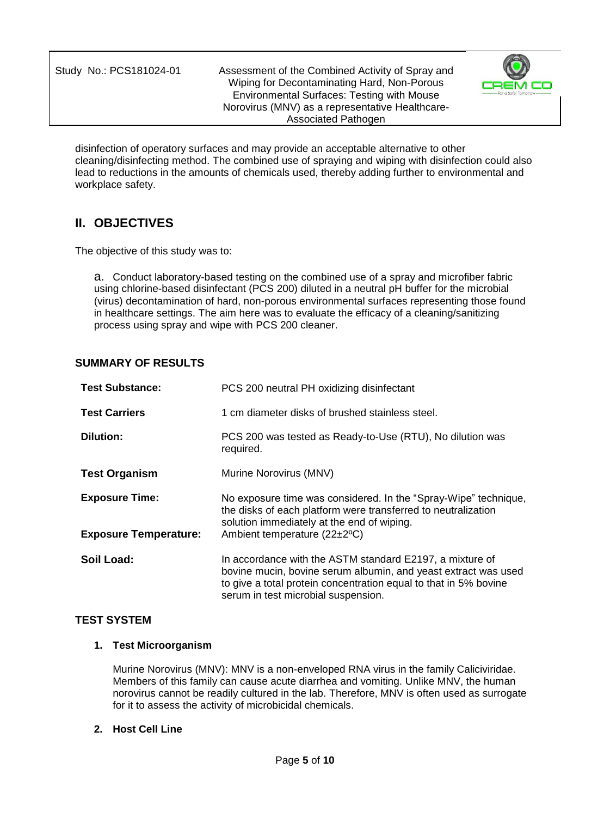

disinfection of operatory surfaces and may provide an acceptable alternative to other cleaning/disinfecting method. The combined use of spraying and wiping with disinfection could also lead to reductions in the amounts of chemicals used, thereby adding further to environmental and workplace safety.

# **II. OBJECTIVES**

The objective of this study was to:

a. Conduct laboratory-based testing on the combined use of a spray and microfiber fabric using chlorine-based disinfectant (PCS 200) diluted in a neutral pH buffer for the microbial (virus) decontamination of hard, non-porous environmental surfaces representing those found in healthcare settings. The aim here was to evaluate the efficacy of a cleaning/sanitizing process using spray and wipe with PCS 200 cleaner.

## **SUMMARY OF RESULTS**

| <b>Test Substance:</b>       | PCS 200 neutral PH oxidizing disinfectant                                                                                                                                                                                             |
|------------------------------|---------------------------------------------------------------------------------------------------------------------------------------------------------------------------------------------------------------------------------------|
| <b>Test Carriers</b>         | 1 cm diameter disks of brushed stainless steel.                                                                                                                                                                                       |
| <b>Dilution:</b>             | PCS 200 was tested as Ready-to-Use (RTU), No dilution was<br>required.                                                                                                                                                                |
| <b>Test Organism</b>         | Murine Norovirus (MNV)                                                                                                                                                                                                                |
| <b>Exposure Time:</b>        | No exposure time was considered. In the "Spray-Wipe" technique,<br>the disks of each platform were transferred to neutralization<br>solution immediately at the end of wiping.                                                        |
| <b>Exposure Temperature:</b> | Ambient temperature (22±2°C)                                                                                                                                                                                                          |
| Soil Load:                   | In accordance with the ASTM standard E2197, a mixture of<br>bovine mucin, bovine serum albumin, and yeast extract was used<br>to give a total protein concentration equal to that in 5% bovine<br>serum in test microbial suspension. |

#### **TEST SYSTEM**

#### **1. Test Microorganism**

Murine Norovirus (MNV): MNV is a non-enveloped RNA virus in the family Caliciviridae. Members of this family can cause acute diarrhea and vomiting. Unlike MNV, the human norovirus cannot be readily cultured in the lab. Therefore, MNV is often used as surrogate for it to assess the activity of microbicidal chemicals.

### **2. Host Cell Line**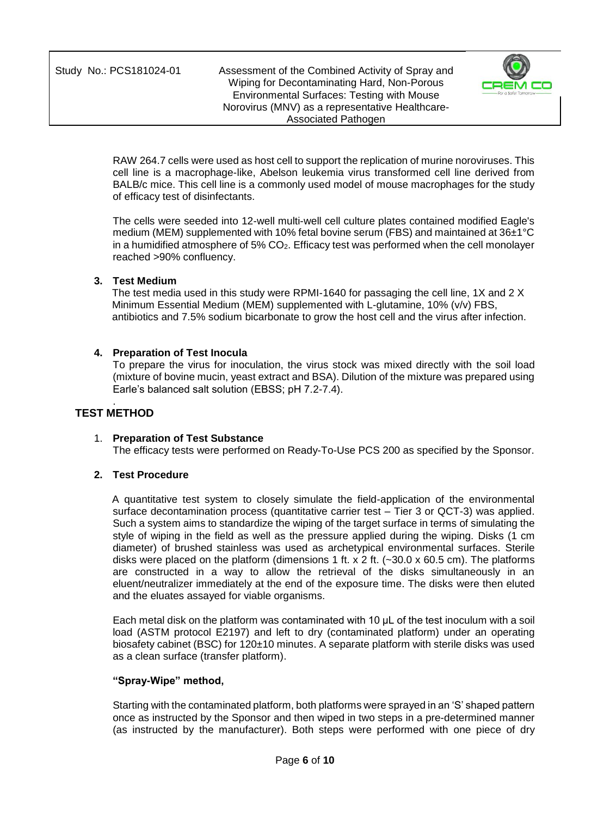

RAW 264.7 cells were used as host cell to support the replication of murine noroviruses. This cell line is a macrophage-like, Abelson leukemia virus transformed cell line derived from BALB/c mice. This cell line is a commonly used model of mouse macrophages for the study of efficacy test of disinfectants.

The cells were seeded into 12-well multi-well cell culture plates contained modified Eagle's medium (MEM) supplemented with 10% fetal bovine serum (FBS) and maintained at 36±1°C in a humidified atmosphere of 5% CO2. Efficacy test was performed when the cell monolayer reached >90% confluency.

#### **3. Test Medium**

The test media used in this study were RPMI-1640 for passaging the cell line, 1X and 2 X Minimum Essential Medium (MEM) supplemented with L-glutamine, 10% (v/v) FBS, antibiotics and 7.5% sodium bicarbonate to grow the host cell and the virus after infection.

#### **4. Preparation of Test Inocula**

To prepare the virus for inoculation, the virus stock was mixed directly with the soil load (mixture of bovine mucin, yeast extract and BSA). Dilution of the mixture was prepared using Earle's balanced salt solution (EBSS; pH 7.2-7.4).

#### . **TEST METHOD**

#### 1. **Preparation of Test Substance**

The efficacy tests were performed on Ready-To-Use PCS 200 as specified by the Sponsor.

#### **2. Test Procedure**

A quantitative test system to closely simulate the field-application of the environmental surface decontamination process (quantitative carrier test – Tier 3 or QCT-3) was applied. Such a system aims to standardize the wiping of the target surface in terms of simulating the style of wiping in the field as well as the pressure applied during the wiping. Disks (1 cm diameter) of brushed stainless was used as archetypical environmental surfaces. Sterile disks were placed on the platform (dimensions 1 ft. x 2 ft.  $(-30.0 \times 60.5 \text{ cm})$ ). The platforms are constructed in a way to allow the retrieval of the disks simultaneously in an eluent/neutralizer immediately at the end of the exposure time. The disks were then eluted and the eluates assayed for viable organisms.

Each metal disk on the platform was contaminated with 10 μL of the test inoculum with a soil load (ASTM protocol E2197) and left to dry (contaminated platform) under an operating biosafety cabinet (BSC) for 120±10 minutes. A separate platform with sterile disks was used as a clean surface (transfer platform).

#### **"Spray-Wipe" method,**

Starting with the contaminated platform, both platforms were sprayed in an 'S' shaped pattern once as instructed by the Sponsor and then wiped in two steps in a pre-determined manner (as instructed by the manufacturer). Both steps were performed with one piece of dry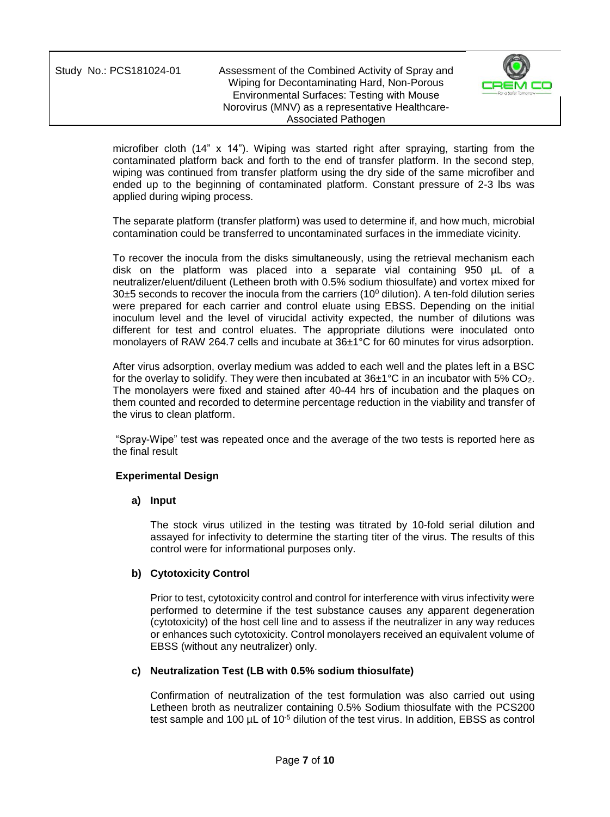

microfiber cloth (14" x 14"). Wiping was started right after spraying, starting from the contaminated platform back and forth to the end of transfer platform. In the second step, wiping was continued from transfer platform using the dry side of the same microfiber and ended up to the beginning of contaminated platform. Constant pressure of 2-3 lbs was applied during wiping process.

The separate platform (transfer platform) was used to determine if, and how much, microbial contamination could be transferred to uncontaminated surfaces in the immediate vicinity.

To recover the inocula from the disks simultaneously, using the retrieval mechanism each disk on the platform was placed into a separate vial containing 950 µL of a neutralizer/eluent/diluent (Letheen broth with 0.5% sodium thiosulfate) and vortex mixed for  $30±5$  seconds to recover the inocula from the carriers (10 $^{\circ}$  dilution). A ten-fold dilution series were prepared for each carrier and control eluate using EBSS. Depending on the initial inoculum level and the level of virucidal activity expected, the number of dilutions was different for test and control eluates. The appropriate dilutions were inoculated onto monolayers of RAW 264.7 cells and incubate at 36±1°C for 60 minutes for virus adsorption.

After virus adsorption, overlay medium was added to each well and the plates left in a BSC for the overlay to solidify. They were then incubated at  $36\pm1\degree C$  in an incubator with 5% CO<sub>2</sub>. The monolayers were fixed and stained after 40-44 hrs of incubation and the plaques on them counted and recorded to determine percentage reduction in the viability and transfer of the virus to clean platform.

"Spray-Wipe" test was repeated once and the average of the two tests is reported here as the final result

#### **Experimental Design**

#### **a) Input**

The stock virus utilized in the testing was titrated by 10-fold serial dilution and assayed for infectivity to determine the starting titer of the virus. The results of this control were for informational purposes only.

#### **b) Cytotoxicity Control**

Prior to test, cytotoxicity control and control for interference with virus infectivity were performed to determine if the test substance causes any apparent degeneration (cytotoxicity) of the host cell line and to assess if the neutralizer in any way reduces or enhances such cytotoxicity. Control monolayers received an equivalent volume of EBSS (without any neutralizer) only.

#### **c) Neutralization Test (LB with 0.5% sodium thiosulfate)**

Confirmation of neutralization of the test formulation was also carried out using Letheen broth as neutralizer containing 0.5% Sodium thiosulfate with the PCS200 test sample and 100  $\mu$ L of 10<sup>-5</sup> dilution of the test virus. In addition, EBSS as control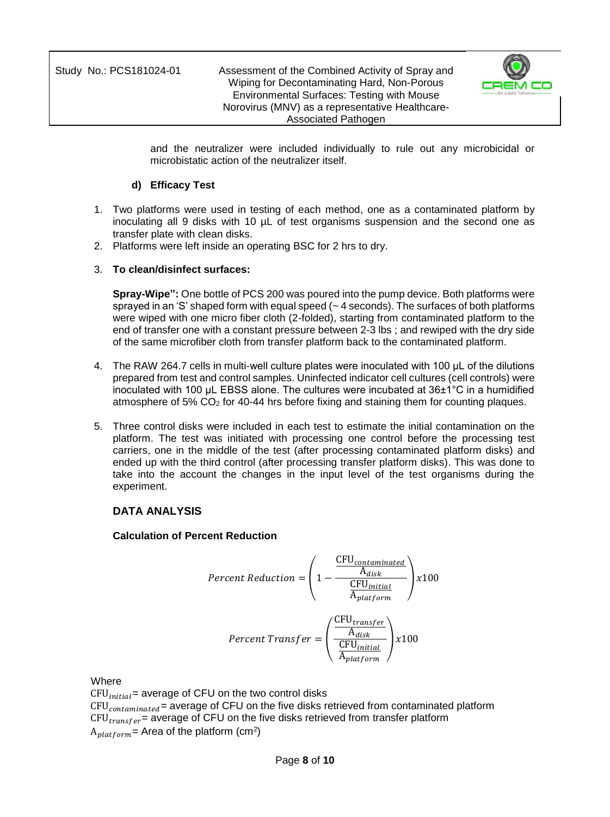

and the neutralizer were included individually to rule out any microbicidal or microbistatic action of the neutralizer itself.

### **d) Efficacy Test**

- 1. Two platforms were used in testing of each method, one as a contaminated platform by inoculating all 9 disks with 10 µL of test organisms suspension and the second one as transfer plate with clean disks.
- 2. Platforms were left inside an operating BSC for 2 hrs to dry.

## 3. **To clean/disinfect surfaces:**

**Spray-Wipe":** One bottle of PCS 200 was poured into the pump device. Both platforms were sprayed in an 'S' shaped form with equal speed  $(-4$  seconds). The surfaces of both platforms were wiped with one micro fiber cloth (2-folded), starting from contaminated platform to the end of transfer one with a constant pressure between 2-3 lbs ; and rewiped with the dry side of the same microfiber cloth from transfer platform back to the contaminated platform.

- 4. The RAW 264.7 cells in multi-well culture plates were inoculated with 100 μL of the dilutions prepared from test and control samples. Uninfected indicator cell cultures (cell controls) were inoculated with 100 μL EBSS alone. The cultures were incubated at 36±1°C in a humidified atmosphere of 5% CO<sup>2</sup> for 40-44 hrs before fixing and staining them for counting plaques.
- 5. Three control disks were included in each test to estimate the initial contamination on the platform. The test was initiated with processing one control before the processing test carriers, one in the middle of the test (after processing contaminated platform disks) and ended up with the third control (after processing transfer platform disks). This was done to take into the account the changes in the input level of the test organisms during the experiment.

## **DATA ANALYSIS**

#### **Calculation of Percent Reduction**

$$
Percent \; Reduction = \left(1 - \frac{\frac{CFU_{contaminated}}{A_{disk}}}{\frac{CFU_{initial}}{A_{platform}}}\right) \times 100
$$
\n
$$
Percent \; Transfer = \left(\frac{\frac{CFU_{transfer}}{A_{disk}}}{\frac{CFU_{initial}}{A_{platform}}}\right) \times 100
$$

Where

 $CFU<sub>initial</sub>$  average of CFU on the two control disks  $CFU_{contaminated}$  = average of CFU on the five disks retrieved from contaminated platform  $CFU<sub>transfer</sub>$  = average of CFU on the five disks retrieved from transfer platform  ${\rm A}_{platform}$ = Area of the platform (cm<sup>2</sup>)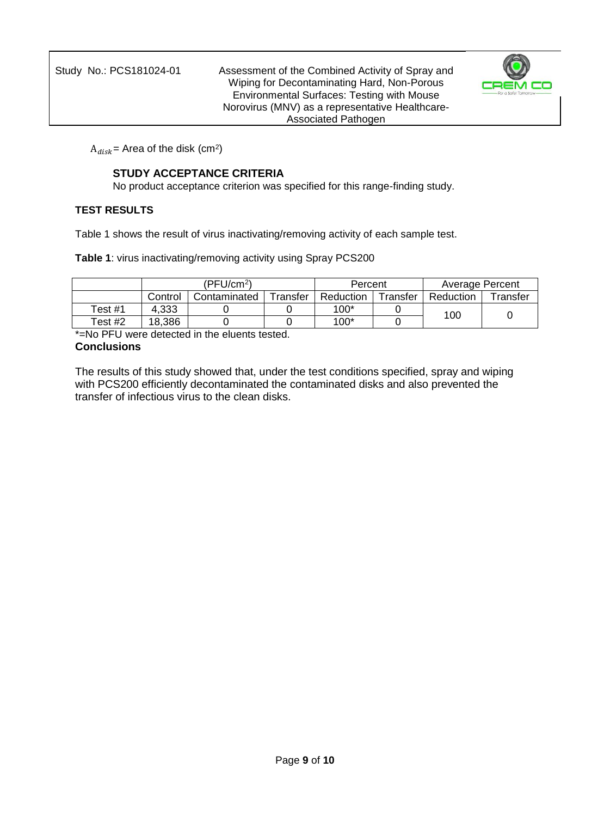

 $\mathrm{A}_{disk}$ = Area of the disk (cm $^2$ )

### **STUDY ACCEPTANCE CRITERIA**

No product acceptance criterion was specified for this range-finding study.

### **TEST RESULTS**

Table 1 shows the result of virus inactivating/removing activity of each sample test.

**Table 1**: virus inactivating/removing activity using Spray PCS200

|         |         | (PFU/cm <sup>2</sup> )                |  | Percent        |           | <b>Average Percent</b> |  |  |
|---------|---------|---------------------------------------|--|----------------|-----------|------------------------|--|--|
|         | Control | Fransfer<br>Reduction<br>Contaminated |  | $\tau$ ransfer | Reduction | ransfer                |  |  |
| Test #1 | 4.333   |                                       |  | $100*$         |           | 100                    |  |  |
| Test #2 | 18.386  |                                       |  | $100*$         |           |                        |  |  |

\*=No PFU were detected in the eluents tested. **Conclusions**

The results of this study showed that, under the test conditions specified, spray and wiping with PCS200 efficiently decontaminated the contaminated disks and also prevented the transfer of infectious virus to the clean disks.